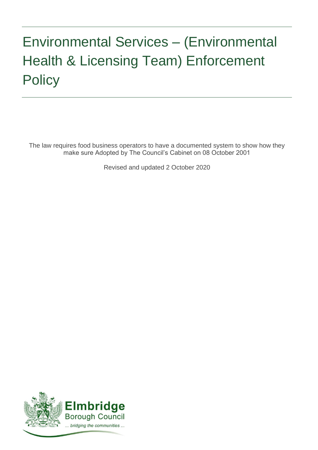# Environmental Services – (Environmental Health & Licensing Team) Enforcement **Policy**

The law requires food business operators to have a documented system to show how they make sure Adopted by The Council's Cabinet on 08 October 2001

Revised and updated 2 October 2020

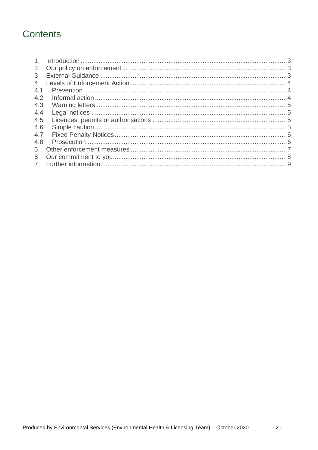# Contents

| $\mathbf{1}$   |  |
|----------------|--|
| 2              |  |
| 3              |  |
| $\overline{4}$ |  |
| 4.1            |  |
| 4.2            |  |
| 4.3            |  |
| 4.4            |  |
| 4.5            |  |
| 4.6            |  |
| 4.7            |  |
| 4.8            |  |
| $5^{\circ}$    |  |
| 6              |  |
| $\overline{7}$ |  |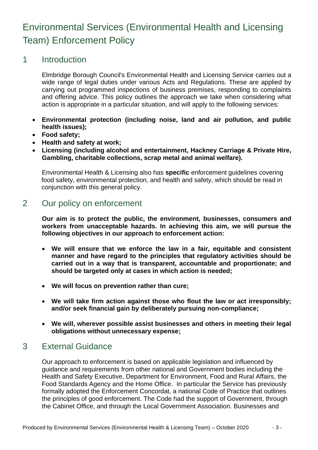# Environmental Services (Environmental Health and Licensing Team) Enforcement Policy

#### <span id="page-2-0"></span>1 Introduction

Elmbridge Borough Council's Environmental Health and Licensing Service carries out a wide range of legal duties under various Acts and Regulations. These are applied by carrying out programmed inspections of business premises, responding to complaints and offering advice. This policy outlines the approach we take when considering what action is appropriate in a particular situation, and will apply to the following services:

- **Environmental protection (including noise, land and air pollution, and public health issues);**
- **Food safety;**
- **Health and safety at work;**
- **Licensing (including alcohol and entertainment, Hackney Carriage & Private Hire, Gambling, charitable collections, scrap metal and animal welfare).**

Environmental Health & Licensing also has **specific** enforcement guidelines covering food safety, environmental protection, and health and safety, which should be read in conjunction with this general policy.

# <span id="page-2-1"></span>2 Our policy on enforcement

**Our aim is to protect the public, the environment, businesses, consumers and workers from unacceptable hazards. In achieving this aim, we will pursue the following objectives in our approach to enforcement action:**

- **We will ensure that we enforce the law in a fair, equitable and consistent manner and have regard to the principles that regulatory activities should be carried out in a way that is transparent, accountable and proportionate; and should be targeted only at cases in which action is needed;**
- **We will focus on prevention rather than cure;**
- **We will take firm action against those who flout the law or act irresponsibly; and/or seek financial gain by deliberately pursuing non-compliance;**
- **We will, wherever possible assist businesses and others in meeting their legal obligations without unnecessary expense;**

# <span id="page-2-2"></span>3 External Guidance

Our approach to enforcement is based on applicable legislation and influenced by guidance and requirements from other national and Government bodies including the Health and Safety Executive, Department for Environment, Food and Rural Affairs, the Food Standards Agency and the Home Office. In particular the Service has previously formally adopted the Enforcement Concordat, a national Code of Practice that outlines the principles of good enforcement. The Code had the support of Government, through the Cabinet Office, and through the Local Government Association. Businesses and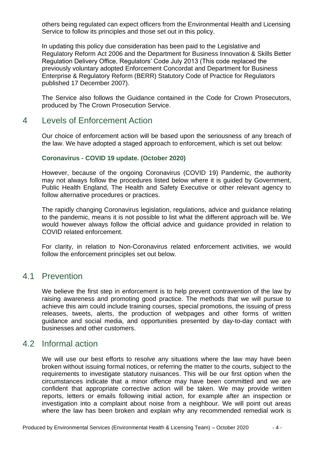others being regulated can expect officers from the Environmental Health and Licensing Service to follow its principles and those set out in this policy.

In updating this policy due consideration has been paid to the Legislative and Regulatory Reform Act 2006 and the Department for Business Innovation & Skills Better Regulation Delivery Office, Regulators' Code July 2013 (This code replaced the previously voluntary adopted Enforcement Concordat and Department for Business Enterprise & Regulatory Reform (BERR) Statutory Code of Practice for Regulators published 17 December 2007).

The Service also follows the Guidance contained in the Code for Crown Prosecutors, produced by The Crown Prosecution Service.

#### <span id="page-3-0"></span>4 Levels of Enforcement Action

Our choice of enforcement action will be based upon the seriousness of any breach of the law. We have adopted a staged approach to enforcement, which is set out below:

#### **Coronavirus - COVID 19 update. (October 2020)**

However, because of the ongoing Coronavirus (COVID 19) Pandemic, the authority may not always follow the procedures listed below where it is guided by Government, Public Health England, The Health and Safety Executive or other relevant agency to follow alternative procedures or practices.

The rapidly changing Coronavirus legislation, regulations, advice and guidance relating to the pandemic, means it is not possible to list what the different approach will be. We would however always follow the official advice and guidance provided in relation to COVID related enforcement.

For clarity, in relation to Non-Coronavirus related enforcement activities, we would follow the enforcement principles set out below.

#### <span id="page-3-1"></span>4.1 Prevention

We believe the first step in enforcement is to help prevent contravention of the law by raising awareness and promoting good practice. The methods that we will pursue to achieve this aim could include training courses, special promotions, the issuing of press releases, tweets, alerts, the production of webpages and other forms of written guidance and social media, and opportunities presented by day-to-day contact with businesses and other customers.

#### <span id="page-3-2"></span>4.2 Informal action

We will use our best efforts to resolve any situations where the law may have been broken without issuing formal notices, or referring the matter to the courts, subject to the requirements to investigate statutory nuisances. This will be our first option when the circumstances indicate that a minor offence may have been committed and we are confident that appropriate corrective action will be taken. We may provide written reports, letters or emails following initial action, for example after an inspection or investigation into a complaint about noise from a neighbour. We will point out areas where the law has been broken and explain why any recommended remedial work is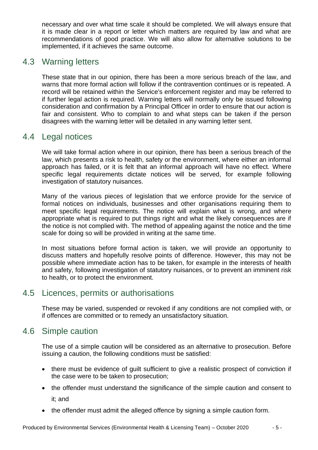necessary and over what time scale it should be completed. We will always ensure that it is made clear in a report or letter which matters are required by law and what are recommendations of good practice. We will also allow for alternative solutions to be implemented, if it achieves the same outcome.

# <span id="page-4-0"></span>4.3 Warning letters

These state that in our opinion, there has been a more serious breach of the law, and warns that more formal action will follow if the contravention continues or is repeated. A record will be retained within the Service's enforcement register and may be referred to if further legal action is required. Warning letters will normally only be issued following consideration and confirmation by a Principal Officer in order to ensure that our action is fair and consistent. Who to complain to and what steps can be taken if the person disagrees with the warning letter will be detailed in any warning letter sent.

# <span id="page-4-1"></span>4.4 Legal notices

We will take formal action where in our opinion, there has been a serious breach of the law, which presents a risk to health, safety or the environment, where either an informal approach has failed, or it is felt that an informal approach will have no effect. Where specific legal requirements dictate notices will be served, for example following investigation of statutory nuisances.

Many of the various pieces of legislation that we enforce provide for the service of formal notices on individuals, businesses and other organisations requiring them to meet specific legal requirements. The notice will explain what is wrong, and where appropriate what is required to put things right and what the likely consequences are if the notice is not complied with. The method of appealing against the notice and the time scale for doing so will be provided in writing at the same time.

In most situations before formal action is taken, we will provide an opportunity to discuss matters and hopefully resolve points of difference. However, this may not be possible where immediate action has to be taken, for example in the interests of health and safety, following investigation of statutory nuisances, or to prevent an imminent risk to health, or to protect the environment.

# <span id="page-4-2"></span>4.5 Licences, permits or authorisations

These may be varied, suspended or revoked if any conditions are not complied with, or if offences are committed or to remedy an unsatisfactory situation.

# <span id="page-4-3"></span>4.6 Simple caution

The use of a simple caution will be considered as an alternative to prosecution. Before issuing a caution, the following conditions must be satisfied:

- there must be evidence of guilt sufficient to give a realistic prospect of conviction if the case were to be taken to prosecution;
- the offender must understand the significance of the simple caution and consent to it; and
- the offender must admit the alleged offence by signing a simple caution form.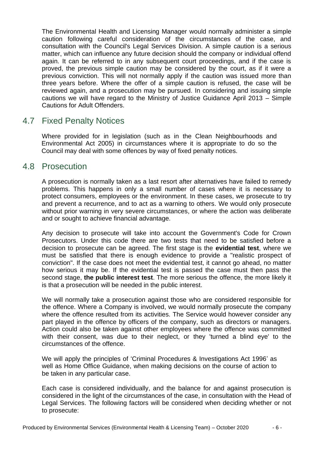The Environmental Health and Licensing Manager would normally administer a simple caution following careful consideration of the circumstances of the case, and consultation with the Council's Legal Services Division. A simple caution is a serious matter, which can influence any future decision should the company or individual offend again. It can be referred to in any subsequent court proceedings, and if the case is proved, the previous simple caution may be considered by the court, as if it were a previous conviction. This will not normally apply if the caution was issued more than three years before. Where the offer of a simple caution is refused, the case will be reviewed again, and a prosecution may be pursued. In considering and issuing simple cautions we will have regard to the Ministry of Justice Guidance April 2013 – Simple Cautions for Adult Offenders.

## <span id="page-5-0"></span>4.7 Fixed Penalty Notices

Where provided for in legislation (such as in the Clean Neighbourhoods and Environmental Act 2005) in circumstances where it is appropriate to do so the Council may deal with some offences by way of fixed penalty notices.

## <span id="page-5-1"></span>4.8 Prosecution

A prosecution is normally taken as a last resort after alternatives have failed to remedy problems. This happens in only a small number of cases where it is necessary to protect consumers, employees or the environment. In these cases, we prosecute to try and prevent a recurrence, and to act as a warning to others. We would only prosecute without prior warning in very severe circumstances, or where the action was deliberate and or sought to achieve financial advantage.

Any decision to prosecute will take into account the Government's Code for Crown Prosecutors. Under this code there are two tests that need to be satisfied before a decision to prosecute can be agreed. The first stage is the **evidential test**, where we must be satisfied that there is enough evidence to provide a "realistic prospect of conviction". If the case does not meet the evidential test, it cannot go ahead, no matter how serious it may be. If the evidential test is passed the case must then pass the second stage, **the public interest test**. The more serious the offence, the more likely it is that a prosecution will be needed in the public interest.

We will normally take a prosecution against those who are considered responsible for the offence. Where a Company is involved, we would normally prosecute the company where the offence resulted from its activities. The Service would however consider any part played in the offence by officers of the company, such as directors or managers. Action could also be taken against other employees where the offence was committed with their consent, was due to their neglect, or they 'turned a blind eye' to the circumstances of the offence.

We will apply the principles of 'Criminal Procedures & Investigations Act 1996' as well as Home Office Guidance, when making decisions on the course of action to be taken in any particular case.

Each case is considered individually, and the balance for and against prosecution is considered in the light of the circumstances of the case, in consultation with the Head of Legal Services. The following factors will be considered when deciding whether or not to prosecute: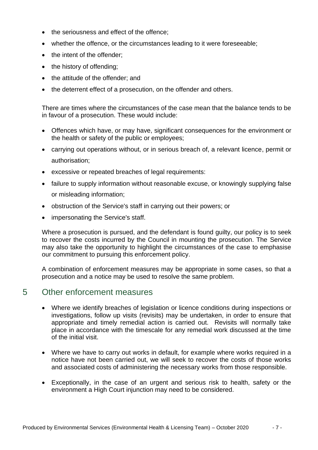- the seriousness and effect of the offence:
- whether the offence, or the circumstances leading to it were foreseeable;
- the intent of the offender;
- the history of offending;
- the attitude of the offender; and
- the deterrent effect of a prosecution, on the offender and others.

There are times where the circumstances of the case mean that the balance tends to be in favour of a prosecution. These would include:

- Offences which have, or may have, significant consequences for the environment or the health or safety of the public or employees;
- carrying out operations without, or in serious breach of, a relevant licence, permit or authorisation;
- excessive or repeated breaches of legal requirements:
- failure to supply information without reasonable excuse, or knowingly supplying false or misleading information;
- obstruction of the Service's staff in carrying out their powers; or
- impersonating the Service's staff.

Where a prosecution is pursued, and the defendant is found guilty, our policy is to seek to recover the costs incurred by the Council in mounting the prosecution. The Service may also take the opportunity to highlight the circumstances of the case to emphasise our commitment to pursuing this enforcement policy.

A combination of enforcement measures may be appropriate in some cases, so that a prosecution and a notice may be used to resolve the same problem.

#### <span id="page-6-0"></span>5 Other enforcement measures

- Where we identify breaches of legislation or licence conditions during inspections or investigations, follow up visits (revisits) may be undertaken, in order to ensure that appropriate and timely remedial action is carried out. Revisits will normally take place in accordance with the timescale for any remedial work discussed at the time of the initial visit.
- Where we have to carry out works in default, for example where works required in a notice have not been carried out, we will seek to recover the costs of those works and associated costs of administering the necessary works from those responsible.
- Exceptionally, in the case of an urgent and serious risk to health, safety or the environment a High Court injunction may need to be considered.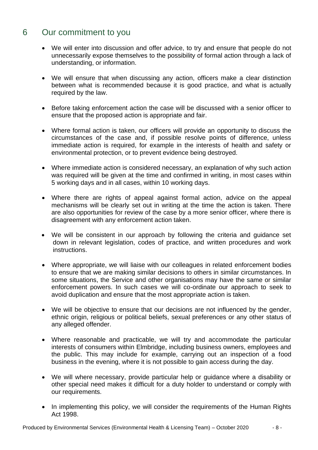# <span id="page-7-0"></span>6 Our commitment to you

- We will enter into discussion and offer advice, to try and ensure that people do not unnecessarily expose themselves to the possibility of formal action through a lack of understanding, or information.
- We will ensure that when discussing any action, officers make a clear distinction between what is recommended because it is good practice, and what is actually required by the law.
- Before taking enforcement action the case will be discussed with a senior officer to ensure that the proposed action is appropriate and fair.
- Where formal action is taken, our officers will provide an opportunity to discuss the circumstances of the case and, if possible resolve points of difference, unless immediate action is required, for example in the interests of health and safety or environmental protection, or to prevent evidence being destroyed.
- Where immediate action is considered necessary, an explanation of why such action was required will be given at the time and confirmed in writing, in most cases within 5 working days and in all cases, within 10 working days.
- Where there are rights of appeal against formal action, advice on the appeal mechanisms will be clearly set out in writing at the time the action is taken. There are also opportunities for review of the case by a more senior officer, where there is disagreement with any enforcement action taken.
- We will be consistent in our approach by following the criteria and guidance set down in relevant legislation, codes of practice, and written procedures and work instructions.
- Where appropriate, we will liaise with our colleagues in related enforcement bodies to ensure that we are making similar decisions to others in similar circumstances. In some situations, the Service and other organisations may have the same or similar enforcement powers. In such cases we will co-ordinate our approach to seek to avoid duplication and ensure that the most appropriate action is taken.
- We will be objective to ensure that our decisions are not influenced by the gender, ethnic origin, religious or political beliefs, sexual preferences or any other status of any alleged offender.
- Where reasonable and practicable, we will try and accommodate the particular interests of consumers within Elmbridge, including business owners, employees and the public. This may include for example, carrying out an inspection of a food business in the evening, where it is not possible to gain access during the day.
- We will where necessary, provide particular help or guidance where a disability or other special need makes it difficult for a duty holder to understand or comply with our requirements.
- In implementing this policy, we will consider the requirements of the Human Rights Act 1998.